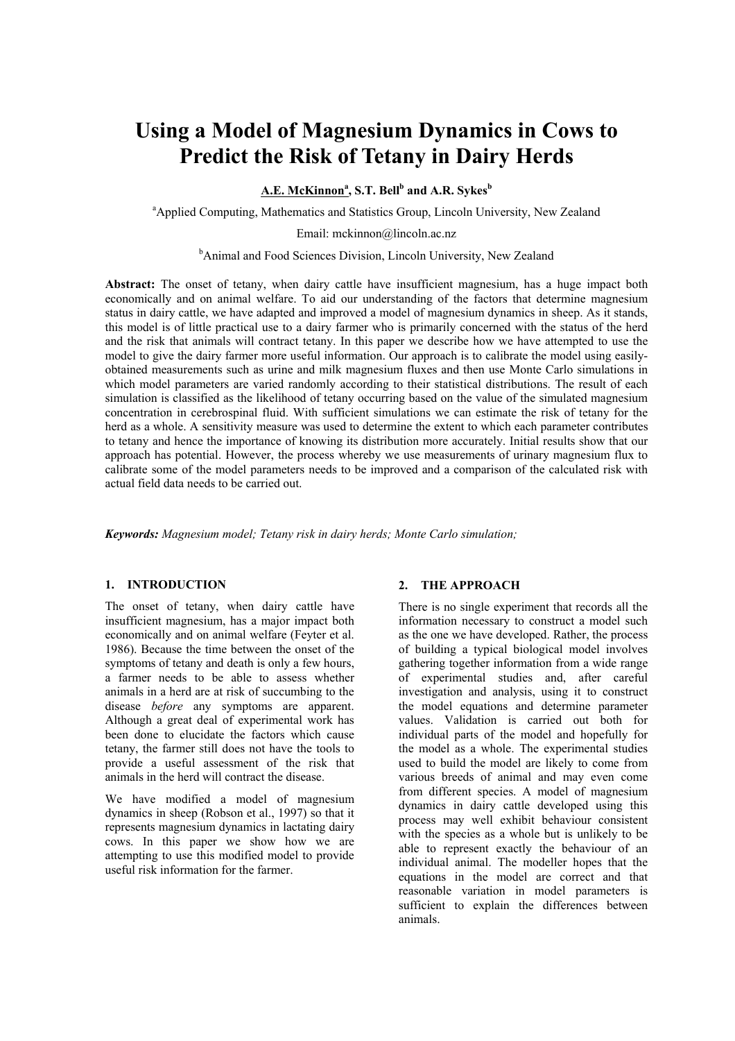# **Using a Model of Magnesium Dynamics in Cows to Predict the Risk of Tetany in Dairy Herds**

 $\overline{\mathbf{A}}$ .E. McKinnon<sup>a</sup>, S.T. Bell<sup>b</sup> and A.R. Sykes<sup>b</sup>

<sup>a</sup> Applied Computing, Mathematics and Statistics Group, Lincoln University, New Zealand

Email: mckinnon@lincoln.ac.nz

<sup>b</sup>Animal and Food Sciences Division, Lincoln University, New Zealand

**Abstract:** The onset of tetany, when dairy cattle have insufficient magnesium, has a huge impact both economically and on animal welfare. To aid our understanding of the factors that determine magnesium status in dairy cattle, we have adapted and improved a model of magnesium dynamics in sheep. As it stands, this model is of little practical use to a dairy farmer who is primarily concerned with the status of the herd and the risk that animals will contract tetany. In this paper we describe how we have attempted to use the model to give the dairy farmer more useful information. Our approach is to calibrate the model using easilyobtained measurements such as urine and milk magnesium fluxes and then use Monte Carlo simulations in which model parameters are varied randomly according to their statistical distributions. The result of each simulation is classified as the likelihood of tetany occurring based on the value of the simulated magnesium concentration in cerebrospinal fluid. With sufficient simulations we can estimate the risk of tetany for the herd as a whole. A sensitivity measure was used to determine the extent to which each parameter contributes to tetany and hence the importance of knowing its distribution more accurately. Initial results show that our approach has potential. However, the process whereby we use measurements of urinary magnesium flux to calibrate some of the model parameters needs to be improved and a comparison of the calculated risk with actual field data needs to be carried out.

*Keywords: Magnesium model; Tetany risk in dairy herds; Monte Carlo simulation;* 

## **1. INTRODUCTION**

The onset of tetany, when dairy cattle have insufficient magnesium, has a major impact both economically and on animal welfare (Feyter et al. 1986). Because the time between the onset of the symptoms of tetany and death is only a few hours, a farmer needs to be able to assess whether animals in a herd are at risk of succumbing to the disease *before* any symptoms are apparent. Although a great deal of experimental work has been done to elucidate the factors which cause tetany, the farmer still does not have the tools to provide a useful assessment of the risk that animals in the herd will contract the disease.

We have modified a model of magnesium dynamics in sheep (Robson et al., 1997) so that it represents magnesium dynamics in lactating dairy cows. In this paper we show how we are attempting to use this modified model to provide useful risk information for the farmer.

#### **2. THE APPROACH**

There is no single experiment that records all the information necessary to construct a model such as the one we have developed. Rather, the process of building a typical biological model involves gathering together information from a wide range of experimental studies and, after careful investigation and analysis, using it to construct the model equations and determine parameter values. Validation is carried out both for individual parts of the model and hopefully for the model as a whole. The experimental studies used to build the model are likely to come from various breeds of animal and may even come from different species. A model of magnesium dynamics in dairy cattle developed using this process may well exhibit behaviour consistent with the species as a whole but is unlikely to be able to represent exactly the behaviour of an individual animal. The modeller hopes that the equations in the model are correct and that reasonable variation in model parameters is sufficient to explain the differences between animals.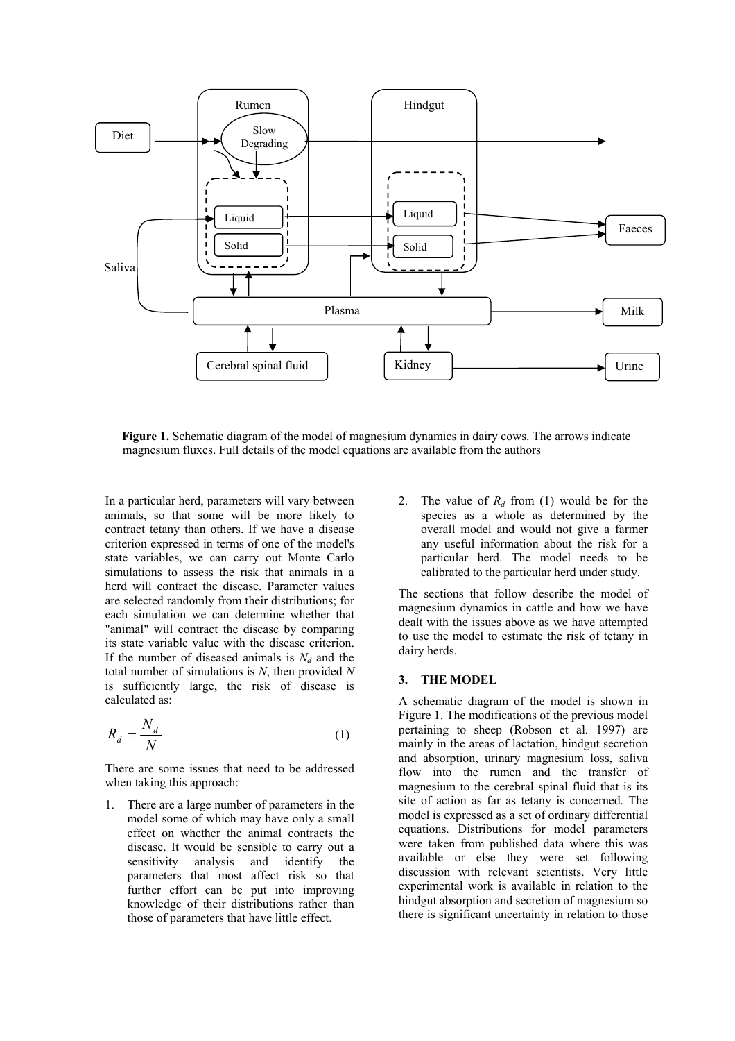

**Figure 1.** Schematic diagram of the model of magnesium dynamics in dairy cows. The arrows indicate magnesium fluxes. Full details of the model equations are available from the authors

In a particular herd, parameters will vary between animals, so that some will be more likely to contract tetany than others. If we have a disease criterion expressed in terms of one of the model's state variables, we can carry out Monte Carlo simulations to assess the risk that animals in a herd will contract the disease. Parameter values are selected randomly from their distributions; for each simulation we can determine whether that "animal" will contract the disease by comparing its state variable value with the disease criterion. If the number of diseased animals is  $N_d$  and the total number of simulations is *N*, then provided *N* is sufficiently large, the risk of disease is calculated as:

$$
R_d = \frac{N_d}{N} \tag{1}
$$

There are some issues that need to be addressed when taking this approach:

1. There are a large number of parameters in the model some of which may have only a small effect on whether the animal contracts the disease. It would be sensible to carry out a sensitivity analysis and identify the parameters that most affect risk so that further effort can be put into improving knowledge of their distributions rather than those of parameters that have little effect.

2. The value of  $R_d$  from (1) would be for the species as a whole as determined by the overall model and would not give a farmer any useful information about the risk for a particular herd. The model needs to be calibrated to the particular herd under study.

The sections that follow describe the model of magnesium dynamics in cattle and how we have dealt with the issues above as we have attempted to use the model to estimate the risk of tetany in dairy herds.

## **3. THE MODEL**

A schematic diagram of the model is shown in Figure 1. The modifications of the previous model pertaining to sheep (Robson et al. 1997) are mainly in the areas of lactation, hindgut secretion and absorption, urinary magnesium loss, saliva flow into the rumen and the transfer of magnesium to the cerebral spinal fluid that is its site of action as far as tetany is concerned. The model is expressed as a set of ordinary differential equations. Distributions for model parameters were taken from published data where this was available or else they were set following discussion with relevant scientists. Very little experimental work is available in relation to the hindgut absorption and secretion of magnesium so there is significant uncertainty in relation to those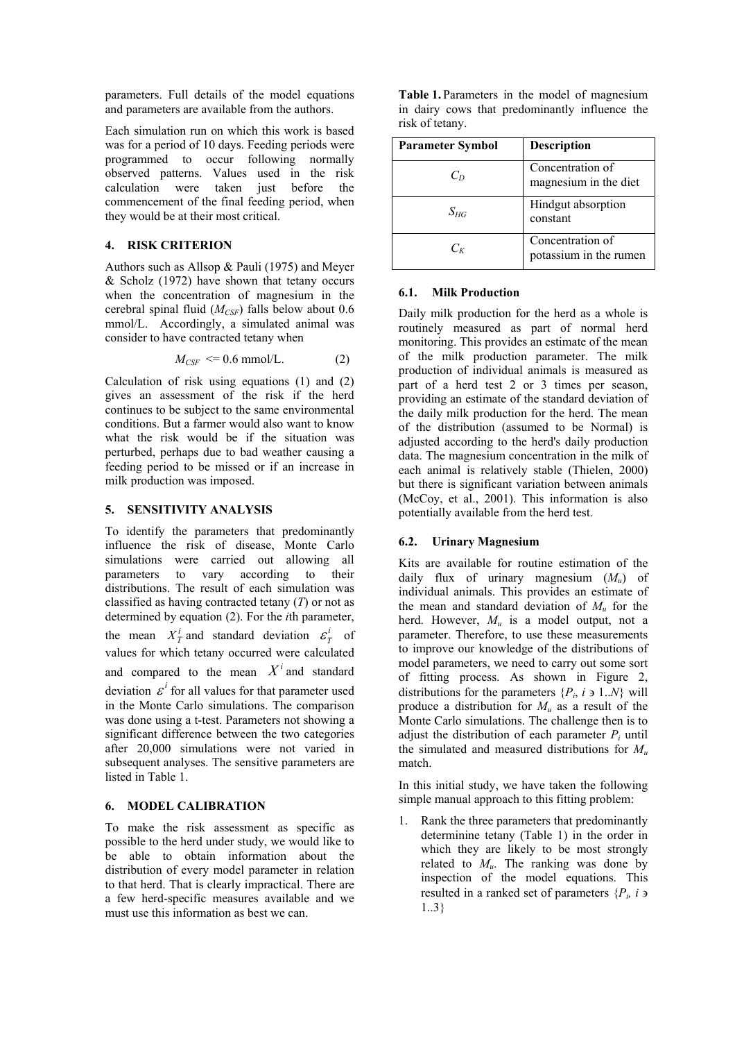parameters. Full details of the model equations and parameters are available from the authors.

Each simulation run on which this work is based was for a period of 10 days. Feeding periods were programmed to occur following normally observed patterns. Values used in the risk calculation were taken just before the commencement of the final feeding period, when they would be at their most critical.

## **4. RISK CRITERION**

Authors such as Allsop & Pauli (1975) and Meyer & Scholz (1972) have shown that tetany occurs when the concentration of magnesium in the cerebral spinal fluid  $(M_{CSF})$  falls below about 0.6 mmol/L. Accordingly, a simulated animal was consider to have contracted tetany when

$$
M_{CSF} \leq 0.6 \text{ mmol/L.} \tag{2}
$$

Calculation of risk using equations (1) and (2) gives an assessment of the risk if the herd continues to be subject to the same environmental conditions. But a farmer would also want to know what the risk would be if the situation was perturbed, perhaps due to bad weather causing a feeding period to be missed or if an increase in milk production was imposed.

## **5. SENSITIVITY ANALYSIS**

To identify the parameters that predominantly influence the risk of disease, Monte Carlo simulations were carried out allowing all parameters to vary according to their distributions. The result of each simulation was classified as having contracted tetany (*T*) or not as determined by equation (2). For the *i*th parameter, the mean  $X_T^i$  and standard deviation  $\varepsilon_T^i$  of values for which tetany occurred were calculated and compared to the mean  $X^i$  and standard deviation  $\varepsilon^i$  for all values for that parameter used in the Monte Carlo simulations. The comparison was done using a t-test. Parameters not showing a significant difference between the two categories after 20,000 simulations were not varied in subsequent analyses. The sensitive parameters are listed in Table 1.

# **6. MODEL CALIBRATION**

To make the risk assessment as specific as possible to the herd under study, we would like to be able to obtain information about the distribution of every model parameter in relation to that herd. That is clearly impractical. There are a few herd-specific measures available and we must use this information as best we can.

|                 |  |  |  |  |  |  |  | Table 1. Parameters in the model of magnesium  |  |
|-----------------|--|--|--|--|--|--|--|------------------------------------------------|--|
|                 |  |  |  |  |  |  |  | in dairy cows that predominantly influence the |  |
| risk of tetany. |  |  |  |  |  |  |  |                                                |  |

| <b>Parameter Symbol</b> | <b>Description</b>                         |
|-------------------------|--------------------------------------------|
| $C_{D}$                 | Concentration of<br>magnesium in the diet  |
| $S_{HG}$                | Hindgut absorption<br>constant             |
| $C_{K}$                 | Concentration of<br>potassium in the rumen |

# **6.1. Milk Production**

Daily milk production for the herd as a whole is routinely measured as part of normal herd monitoring. This provides an estimate of the mean of the milk production parameter. The milk production of individual animals is measured as part of a herd test 2 or 3 times per season, providing an estimate of the standard deviation of the daily milk production for the herd. The mean of the distribution (assumed to be Normal) is adjusted according to the herd's daily production data. The magnesium concentration in the milk of each animal is relatively stable (Thielen, 2000) but there is significant variation between animals (McCoy, et al., 2001). This information is also potentially available from the herd test.

# **6.2. Urinary Magnesium**

Kits are available for routine estimation of the daily flux of urinary magnesium (*Mu*) of individual animals. This provides an estimate of the mean and standard deviation of *Mu* for the herd. However, *Mu* is a model output, not a parameter. Therefore, to use these measurements to improve our knowledge of the distributions of model parameters, we need to carry out some sort of fitting process. As shown in Figure 2, distributions for the parameters  $\{P_i, i \ni 1..N\}$  will produce a distribution for  $M_u$  as a result of the Monte Carlo simulations. The challenge then is to adjust the distribution of each parameter  $P_i$  until the simulated and measured distributions for  $M_u$ match.

In this initial study, we have taken the following simple manual approach to this fitting problem:

1. Rank the three parameters that predominantly determinine tetany (Table 1) in the order in which they are likely to be most strongly related to  $M_u$ . The ranking was done by inspection of the model equations. This resulted in a ranked set of parameters  $\{P_i, i\}$ 1..3}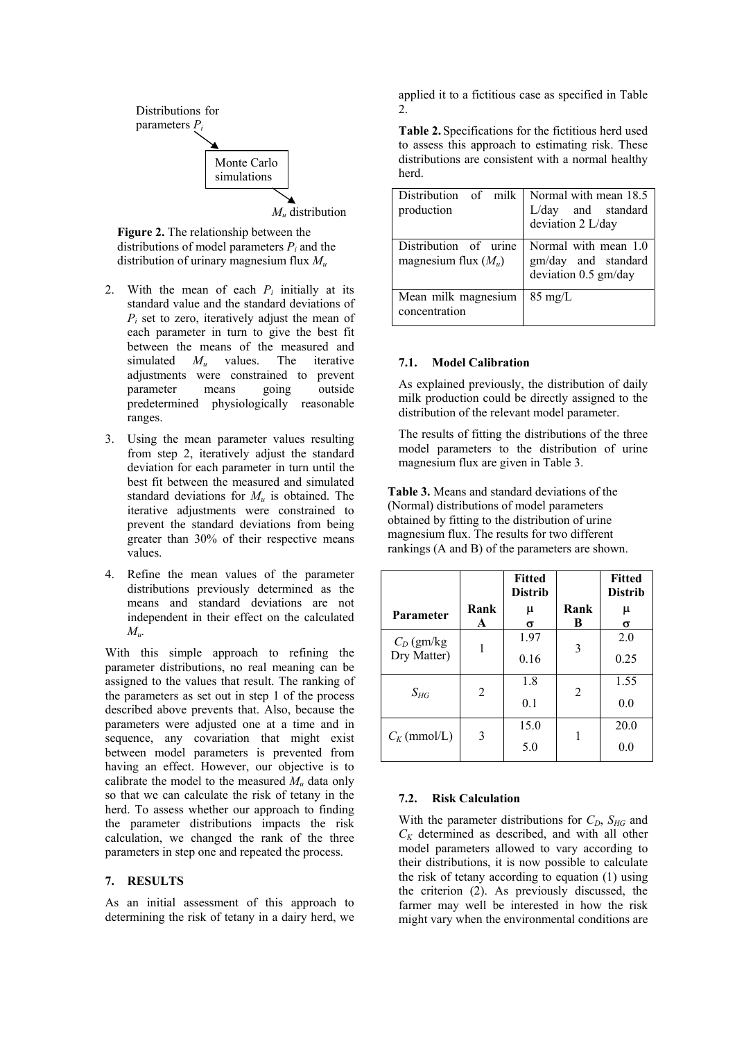

distribution of urinary magnesium flux  $M_u$ **Figure 2.** The relationship between the distributions of model parameters *Pi* and the

- 2. With the mean of each  $P_i$  initially at its standard value and the standard deviations of *Pi* set to zero, iteratively adjust the mean of each parameter in turn to give the best fit between the means of the measured and simulated *Mu* values. The iterative adjustments were constrained to prevent parameter means going outside predetermined physiologically reasonable ranges.
- 3. Using the mean parameter values resulting from step 2, iteratively adjust the standard deviation for each parameter in turn until the best fit between the measured and simulated standard deviations for  $M_u$  is obtained. The iterative adjustments were constrained to prevent the standard deviations from being greater than 30% of their respective means values.
- 4. Refine the mean values of the parameter distributions previously determined as the means and standard deviations are not independent in their effect on the calculated *Mu.*

With this simple approach to refining the parameter distributions, no real meaning can be assigned to the values that result. The ranking of the parameters as set out in step 1 of the process described above prevents that. Also, because the parameters were adjusted one at a time and in sequence, any covariation that might exist between model parameters is prevented from having an effect. However, our objective is to calibrate the model to the measured  $M<sub>u</sub>$  data only so that we can calculate the risk of tetany in the herd. To assess whether our approach to finding the parameter distributions impacts the risk calculation, we changed the rank of the three parameters in step one and repeated the process.

## **7. RESULTS**

As an initial assessment of this approach to determining the risk of tetany in a dairy herd, we applied it to a fictitious case as specified in Table

to assess this approach to estimating risk. These distributions are consistent with a normal healthy herd.

| Distribution of milk<br>production              | Normal with mean 18.5<br>$\rm L/day$ $\quad$ and $\quad$ standard<br>deviation 2 L/day |
|-------------------------------------------------|----------------------------------------------------------------------------------------|
| Distribution of urine<br>magnesium flux $(M_u)$ | Normal with mean 1.0<br>gm/day and standard<br>deviation 0.5 gm/day                    |
| Mean milk magnesium<br>concentration            | $85 \text{ mg/L}$                                                                      |

### **7.1. Model Calibration**

As explained previously, the distribution of daily milk production could be directly assigned to the distribution of the relevant model parameter.

The results of fitting the distributions of the three model parameters to the distribution of urine magnesium flux are given in Table 3.

**Table 3.** Means and standard deviations of the (Normal) distributions of model parameters obtained by fitting to the distribution of urine magnesium flux. The results for two different rankings (A and B) of the parameters are shown.

|                  |      | Fitted<br><b>Distrib</b> |      | <b>Fitted</b><br><b>Distrib</b> |
|------------------|------|--------------------------|------|---------------------------------|
| <b>Parameter</b> | Rank | μ                        | Rank | μ                               |
|                  | A    | σ                        | B    | σ                               |
| $C_D$ (gm/kg)    |      | 1.97                     | 3    | 2.0                             |
| Dry Matter)      |      | 0.16                     |      | 0.25                            |
| $S_{HG}$         | 2    | 1.8                      | 2    | 1.55                            |
|                  |      | 0.1                      |      | 0.0                             |
| $C_K$ (mmol/L)   | 3    | 15.0                     |      | 20.0                            |
|                  |      | 5.0                      |      | 0.0                             |

#### **7.2. Risk Calculation**

With the parameter distributions for  $C_D$ ,  $S_{HG}$  and  $C_K$  determined as described, and with all other model parameters allowed to vary according to their distributions, it is now possible to calculate the risk of tetany according to equation (1) using the criterion (2). As previously discussed, the farmer may well be interested in how the risk might vary when the environmental conditions are